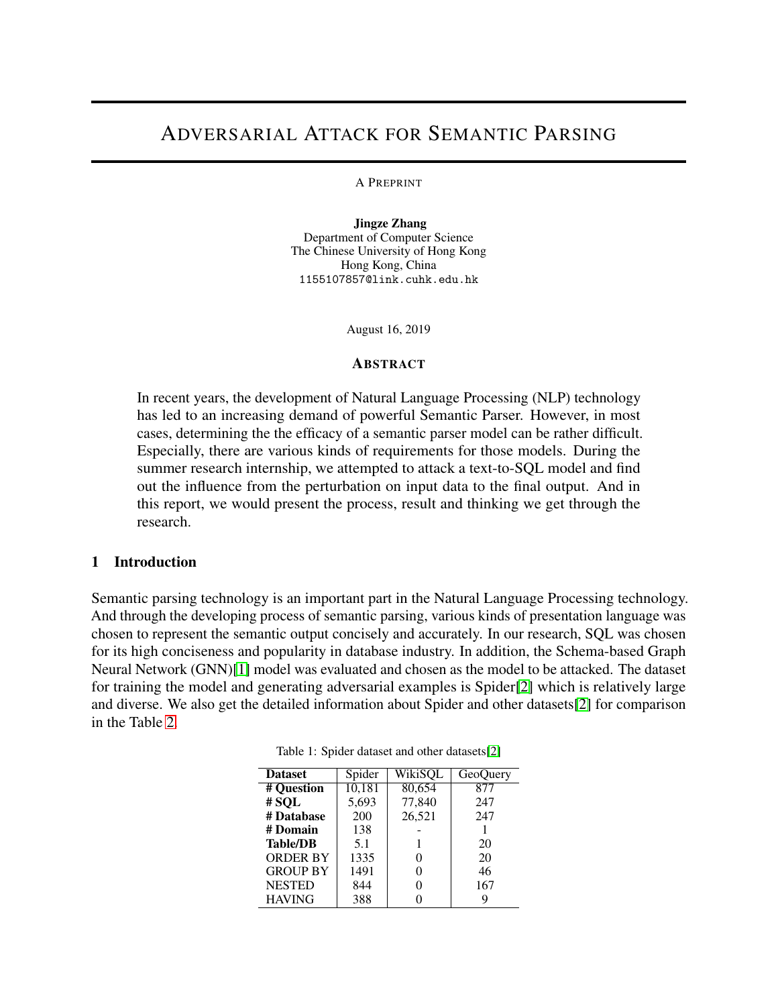# ADVERSARIAL ATTACK FOR SEMANTIC PARSING

#### A PREPRINT

Jingze Zhang Department of Computer Science The Chinese University of Hong Kong Hong Kong, China 1155107857@link.cuhk.edu.hk

August 16, 2019

#### **ABSTRACT**

In recent years, the development of Natural Language Processing (NLP) technology has led to an increasing demand of powerful Semantic Parser. However, in most cases, determining the the efficacy of a semantic parser model can be rather difficult. Especially, there are various kinds of requirements for those models. During the summer research internship, we attempted to attack a text-to-SQL model and find out the influence from the perturbation on input data to the final output. And in this report, we would present the process, result and thinking we get through the research.

#### 1 Introduction

Semantic parsing technology is an important part in the Natural Language Processing technology. And through the developing process of semantic parsing, various kinds of presentation language was chosen to represent the semantic output concisely and accurately. In our research, SQL was chosen for its high conciseness and popularity in database industry. In addition, the Schema-based Graph Neural Network (GNN)[\[1\]](#page-4-0) model was evaluated and chosen as the model to be attacked. The dataset for training the model and generating adversarial examples is Spider[\[2\]](#page-4-1) which is relatively large and diverse. We also get the detailed information about Spider and other datasets[\[2\]](#page-4-1) for comparison in the Table [2.](#page-2-0)

| <b>Dataset</b>  | Spider | WikiSQL | GeoQuery |
|-----------------|--------|---------|----------|
| # Question      | 10,181 | 80,654  | 877      |
| #SQL            | 5,693  | 77,840  | 247      |
| # Database      | 200    | 26,521  | 247      |
| # Domain        | 138    |         |          |
| <b>Table/DB</b> | 5.1    |         | 20       |
| <b>ORDER BY</b> | 1335   | 0       | 20       |
| <b>GROUP BY</b> | 1491   | 0       | 46       |
| <b>NESTED</b>   | 844    | 0       | 167      |
| <b>HAVING</b>   | 388    |         | 9        |

Table 1: Spider dataset and other datasets[\[2\]](#page-4-1)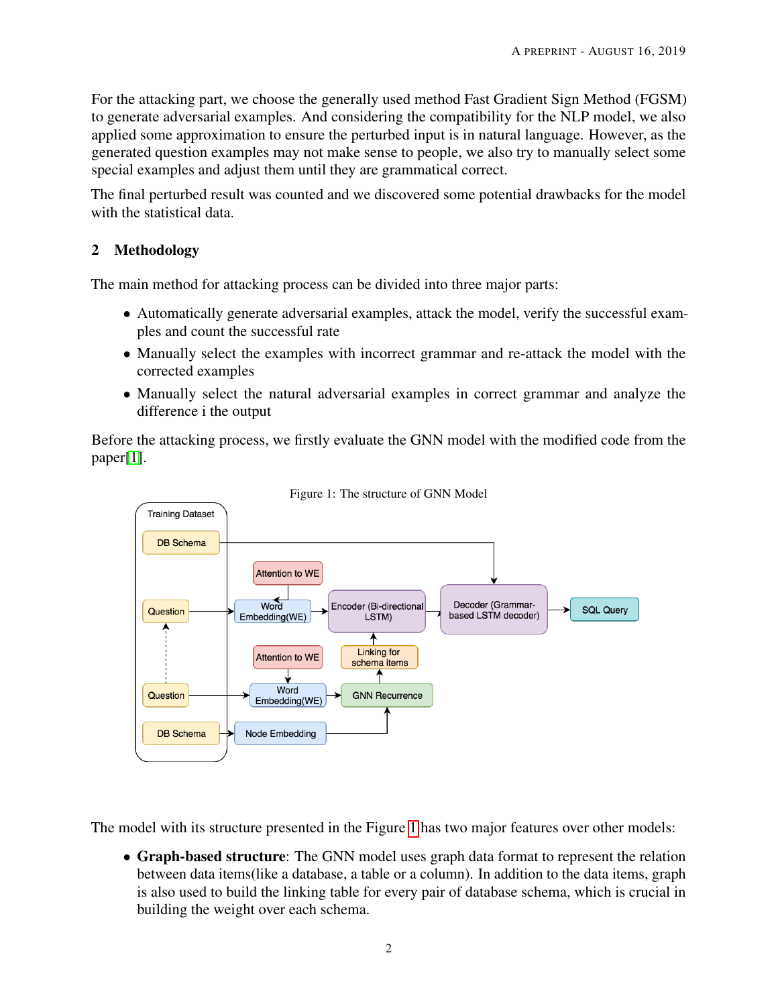For the attacking part, we choose the generally used method Fast Gradient Sign Method (FGSM) to generate adversarial examples. And considering the compatibility for the NLP model, we also applied some approximation to ensure the perturbed input is in natural language. However, as the generated question examples may not make sense to people, we also try to manually select some special examples and adjust them until they are grammatical correct.

The final perturbed result was counted and we discovered some potential drawbacks for the model with the statistical data.

# <span id="page-1-1"></span>2 Methodology

The main method for attacking process can be divided into three major parts:

- Automatically generate adversarial examples, attack the model, verify the successful examples and count the successful rate
- Manually select the examples with incorrect grammar and re-attack the model with the corrected examples
- Manually select the natural adversarial examples in correct grammar and analyze the difference i the output

Before the attacking process, we firstly evaluate the GNN model with the modified code from the paper[\[1\]](#page-4-0).



<span id="page-1-0"></span>Figure 1: The structure of GNN Model

The model with its structure presented in the Figure [1](#page-1-0) has two major features over other models:

• Graph-based structure: The GNN model uses graph data format to represent the relation between data items(like a database, a table or a column). In addition to the data items, graph is also used to build the linking table for every pair of database schema, which is crucial in building the weight over each schema.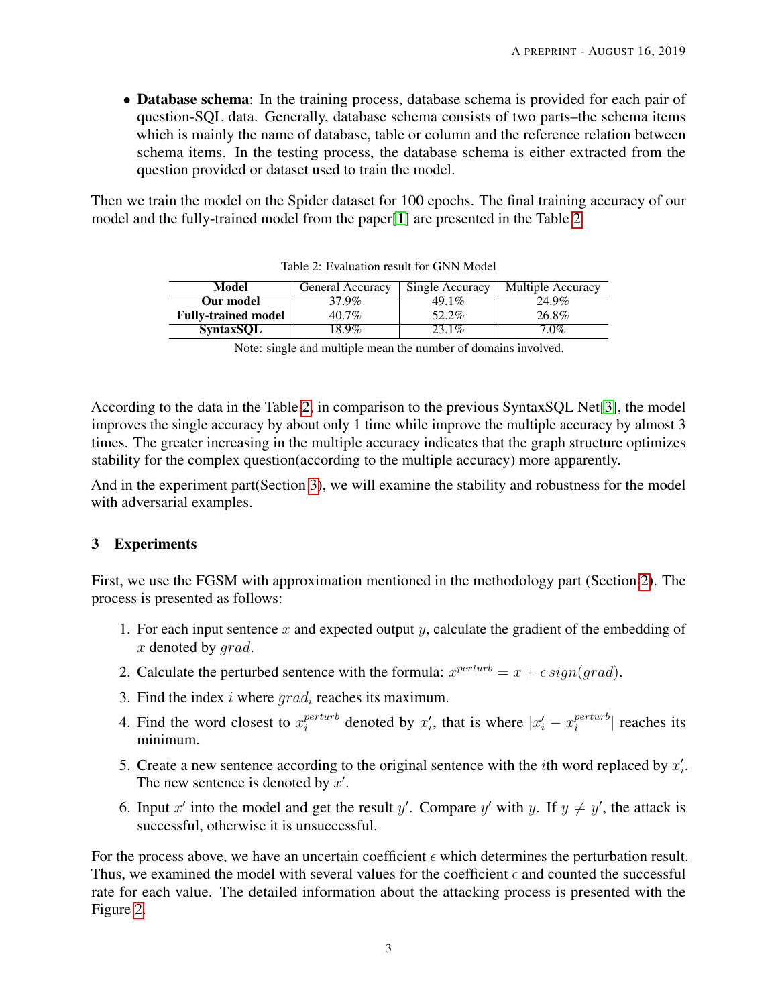• Database schema: In the training process, database schema is provided for each pair of question-SQL data. Generally, database schema consists of two parts–the schema items which is mainly the name of database, table or column and the reference relation between schema items. In the testing process, the database schema is either extracted from the question provided or dataset used to train the model.

Then we train the model on the Spider dataset for 100 epochs. The final training accuracy of our model and the fully-trained model from the paper[\[1\]](#page-4-0) are presented in the Table [2.](#page-2-0)

| Model                      | <b>General Accuracy</b> | Single Accuracy | <b>Multiple Accuracy</b> |  |
|----------------------------|-------------------------|-----------------|--------------------------|--|
| Our model                  | 37.9%                   | $49.1\%$        | 24.9%                    |  |
| <b>Fully-trained model</b> | $40.7\%$                | 52.2%           | 26.8%                    |  |
| <b>SyntaxSOL</b>           | 18.9%                   | $23.1\%$        | $7.0\%$                  |  |

<span id="page-2-0"></span>

|  | Table 2: Evaluation result for GNN Model |  |  |  |
|--|------------------------------------------|--|--|--|
|--|------------------------------------------|--|--|--|

According to the data in the Table [2,](#page-2-0) in comparison to the previous SyntaxSQL Net[\[3\]](#page-4-2), the model improves the single accuracy by about only 1 time while improve the multiple accuracy by almost 3 times. The greater increasing in the multiple accuracy indicates that the graph structure optimizes stability for the complex question(according to the multiple accuracy) more apparently.

And in the experiment part(Section [3\)](#page-2-1), we will examine the stability and robustness for the model with adversarial examples.

## <span id="page-2-1"></span>3 Experiments

First, we use the FGSM with approximation mentioned in the methodology part (Section [2\)](#page-1-1). The process is presented as follows:

- 1. For each input sentence  $x$  and expected output  $y$ , calculate the gradient of the embedding of x denoted by grad.
- 2. Calculate the perturbed sentence with the formula:  $x^{perturb} = x + \epsilon \, sign(grad)$ .
- 3. Find the index i where  $grad_i$  reaches its maximum.
- 4. Find the word closest to  $x_i^{perturb}$  $i_t^{perturb}$  denoted by  $x'_i$ , that is where  $|x'_i - x_i^{perturb}$  $\left| \begin{array}{c} \text{perturb} \\ \text{i} \end{array} \right|$  reaches its minimum.
- 5. Create a new sentence according to the original sentence with the *i*th word replaced by  $x_i'$ . The new sentence is denoted by  $x'$ .
- 6. Input x' into the model and get the result y'. Compare y' with y. If  $y \neq y'$ , the attack is successful, otherwise it is unsuccessful.

For the process above, we have an uncertain coefficient  $\epsilon$  which determines the perturbation result. Thus, we examined the model with several values for the coefficient  $\epsilon$  and counted the successful rate for each value. The detailed information about the attacking process is presented with the Figure [2.](#page-3-0)

Note: single and multiple mean the number of domains involved.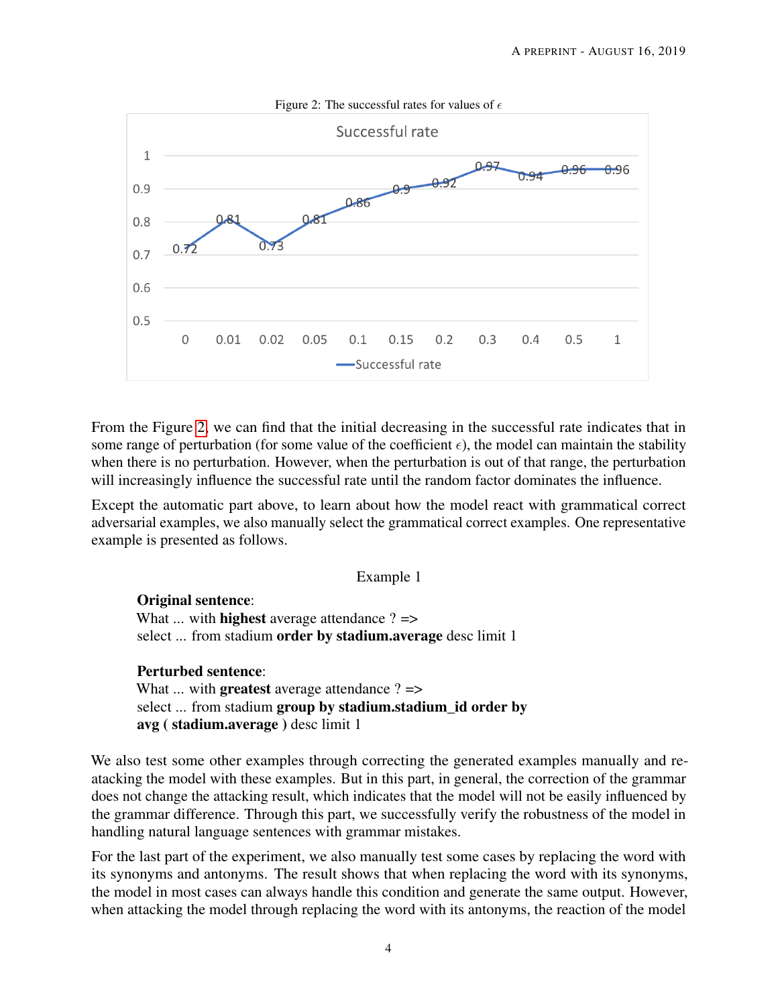<span id="page-3-0"></span>

From the Figure [2,](#page-3-0) we can find that the initial decreasing in the successful rate indicates that in some range of perturbation (for some value of the coefficient  $\epsilon$ ), the model can maintain the stability when there is no perturbation. However, when the perturbation is out of that range, the perturbation will increasingly influence the successful rate until the random factor dominates the influence.

Except the automatic part above, to learn about how the model react with grammatical correct adversarial examples, we also manually select the grammatical correct examples. One representative example is presented as follows.

### Example 1

Original sentence: What  $\ldots$  with **highest** average attendance ?  $\Rightarrow$ select ... from stadium order by stadium.average desc limit 1

#### Perturbed sentence:

What  $\ldots$  with **greatest** average attendance ?  $\Rightarrow$ select ... from stadium group by stadium.stadium id order by avg ( stadium.average ) desc limit 1

We also test some other examples through correcting the generated examples manually and reatacking the model with these examples. But in this part, in general, the correction of the grammar does not change the attacking result, which indicates that the model will not be easily influenced by the grammar difference. Through this part, we successfully verify the robustness of the model in handling natural language sentences with grammar mistakes.

For the last part of the experiment, we also manually test some cases by replacing the word with its synonyms and antonyms. The result shows that when replacing the word with its synonyms, the model in most cases can always handle this condition and generate the same output. However, when attacking the model through replacing the word with its antonyms, the reaction of the model